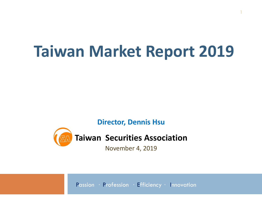# **Taiwan Market Report 2019**

**1**

**Director, Dennis Hsu** 



**Taiwan Securities Association**

November 4, 2019

Passion · Profession · Efficiency · Innovation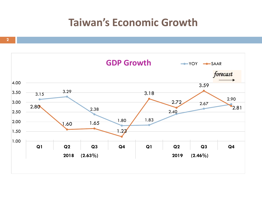## **Taiwan's Economic Growth**

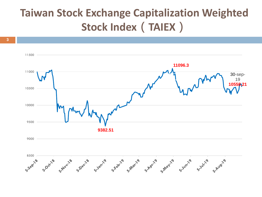# **Taiwan Stock Exchange Capitalization Weighted Stock Index(TAIEX)**

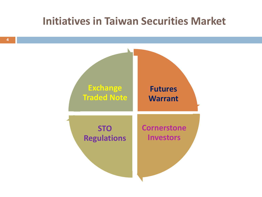### **Initiatives in Taiwan Securities Market**

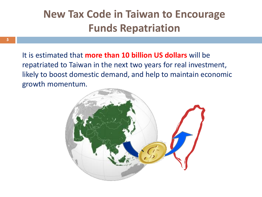# **New Tax Code in Taiwan to Encourage Funds Repatriation**

It is estimated that **more than 10 billion US dollars** will be repatriated to Taiwan in the next two years for real investment, likely to boost domestic demand, and help to maintain economic growth mom[entum.](http://it.wikipedia.org/wiki/File:Asia_(orthographic_projection).svg)

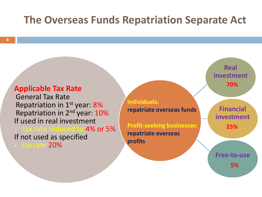#### **The Overseas Funds Repatriation Separate Act**

#### **Applicable Tax Rate** General Tax Rate

Repatriation in 1st year: 8% Repatriation in 2<sup>nd</sup> year: 10% If used in real investment tax rate reduced to 4% or 5% If not used as specified - tax rate 20%

**Individuals: repatriate overseas funds**

**Profit-seeking businesses: repatriate overseas profits**

**Real investment 70%**

**Financial investment 25%** 

**Free-to-use 5%**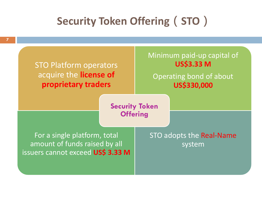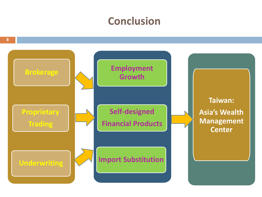### **Conclusion**